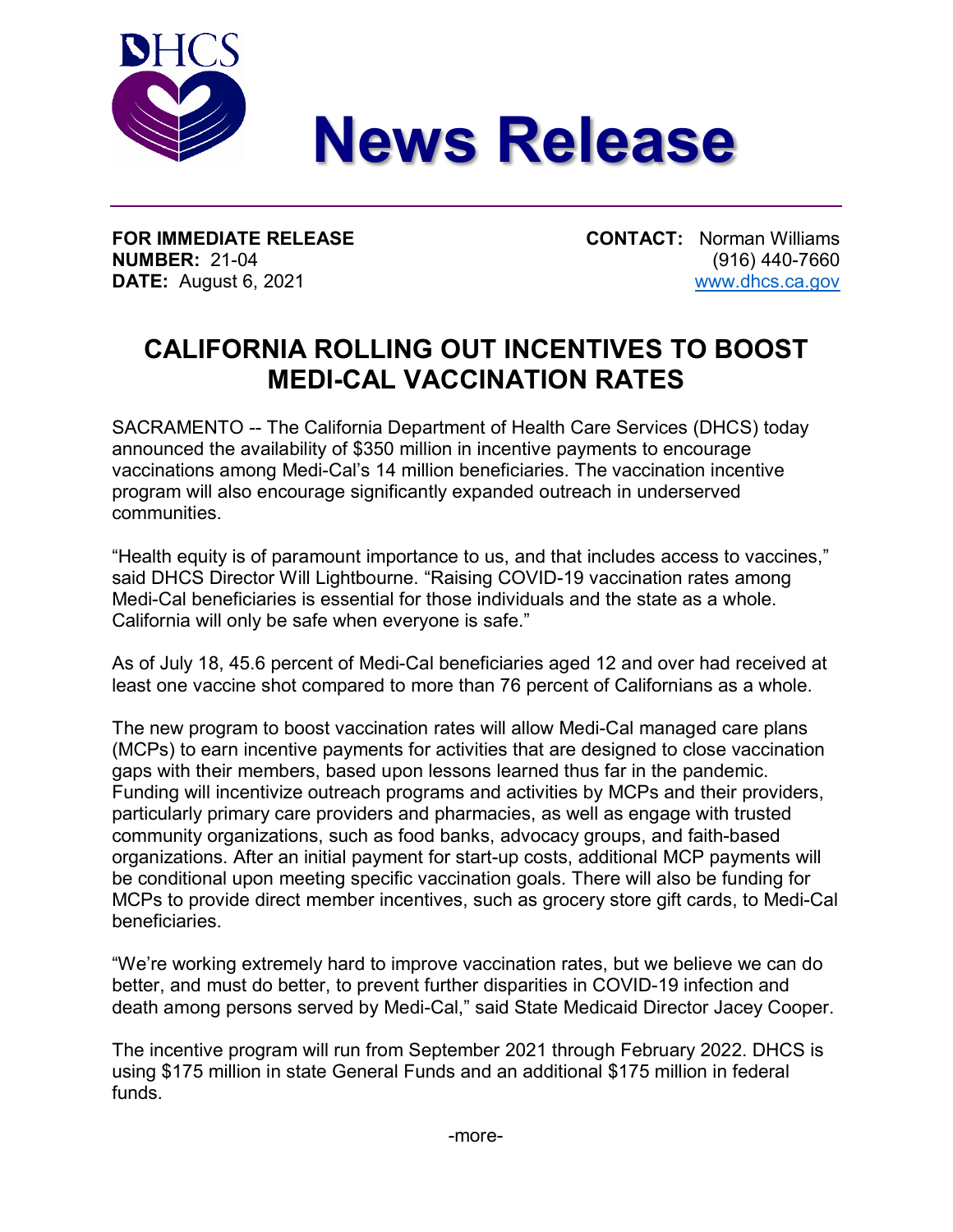

**FOR IMMEDIATE RELEASE CONTACT:** Norman Williams **NUMBER:** 21-04 (916) 440-7660 **DATE:** August 6, 2021 [www.dhcs.ca.gov](https://gcc01.safelinks.protection.outlook.com/?url=http%3A%2F%2Fwww.dhcs.ca.gov&data=04%7C01%7Canthony.cava%40dhcs.ca.gov%7C3361b08af8f64b5b01af08d898793ddd%7C265c2dcd2a6e43aab2e826421a8c8526%7C0%7C0%7C637426993800127048%7CUnknown%7CTWFpbGZsb3d8eyJWIjoiMC4wLjAwMDAiLCJQIjoiV2luMzIiLCJBTiI6Ik1haWwiLCJXVCI6Mn0%3D%7C1000&sdata=MViXArM5L6sX82UkevKbMuN9TnSSkgo3K%2FtXhZIc2ac%3D&reserved=0)

## **CALIFORNIA ROLLING OUT INCENTIVES TO BOOST MEDI-CAL VACCINATION RATES**

SACRAMENTO -- The California Department of Health Care Services (DHCS) today announced the availability of \$350 million in incentive payments to encourage vaccinations among Medi-Cal's 14 million beneficiaries. The vaccination incentive program will also encourage significantly expanded outreach in underserved communities.

"Health equity is of paramount importance to us, and that includes access to vaccines," said DHCS Director Will Lightbourne. "Raising COVID-19 vaccination rates among Medi-Cal beneficiaries is essential for those individuals and the state as a whole. California will only be safe when everyone is safe."

As of July 18, 45.6 percent of Medi-Cal beneficiaries aged 12 and over had received at least one vaccine shot compared to more than 76 percent of Californians as a whole.

The new program to boost vaccination rates will allow Medi-Cal managed care plans (MCPs) to earn incentive payments for activities that are designed to close vaccination gaps with their members, based upon lessons learned thus far in the pandemic. Funding will incentivize outreach programs and activities by MCPs and their providers, particularly primary care providers and pharmacies, as well as engage with trusted community organizations, such as food banks, advocacy groups, and faith-based organizations. After an initial payment for start-up costs, additional MCP payments will be conditional upon meeting specific vaccination goals. There will also be funding for MCPs to provide direct member incentives, such as grocery store gift cards, to Medi-Cal beneficiaries.

"We're working extremely hard to improve vaccination rates, but we believe we can do better, and must do better, to prevent further disparities in COVID-19 infection and death among persons served by Medi-Cal," said State Medicaid Director Jacey Cooper.

The incentive program will run from September 2021 through February 2022. DHCS is using \$175 million in state General Funds and an additional \$175 million in federal funds.